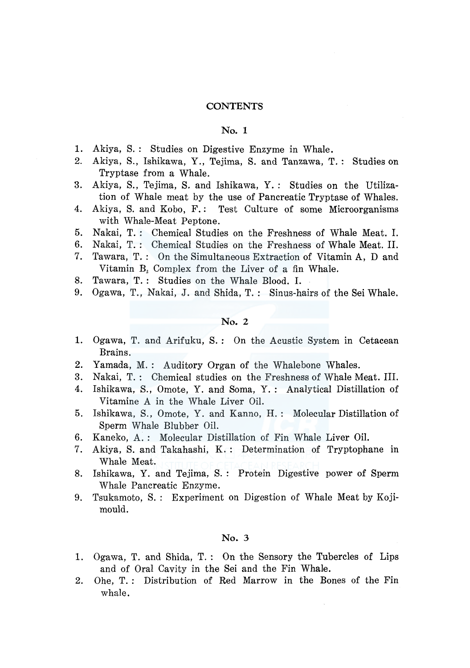### **CONTENTS**

#### No. 1

- 1. Akiya, S.: Studies on Digestive Enzyme in Whale.
- 2. Akiya, S., Ishikawa, Y., Tejima, S. and Tanzawa, T. : Studies on Tryptase from a Whale.
- 3. Akiya, S., Tejima, S. and Ishikawa, Y. : Studies on the Utilization of Whale meat by the use of Pancreatic Tryptase of Whales.
- 4. Akiya, S. and Kobo, F.: Test Culture of some Microorganisms with Whale-Meat Peptone.
- 5. Nakai, T. : Chemical Studies on the Freshness of Whale Meat. I.
- 6. Nakai, T. : Chemical Studies on the Freshness of Whale Meat. II.
- 7. Tawara, T. : On the Simultaneous Extraction of Vitamin A, D and Vitamin B*2* Complex from the Liver of a fin Whale.
- 8. Tawara, T. : Studies on the Whale Blood. I.
- 9. Ogawa, T., Nakai, J. and Shida, T. : Sinus-hairs of the Sei Whale.

### No. 2

- 1. Ogawa, T. and Arifuku, S. : On the Acustic System in Cetacean Brains.
- 2. Yamada, M.: Auditory Organ of the Whalebone Whales.
- 3. Nakai, T. : Chemical studies on the Freshness of Whale Meat. III.
- 4. Ishikawa, S., Omote, Y. and Soma, Y. : Analytical Distillation of Vitamine A in the Whale Liver Oil.
- 5. Ishikawa, S., Omote, Y. and Kanno, H. : Molecular Distillation of Sperm Whale Blubber Oil.
- 6. Kaneko, A. : Molecular Distillation of Fin Whale Liver Oil.
- 7. Akiya, S. and Takahashi, K. : Determination of Tryptophane in Whale Meat.
- 8. Ishikawa, Y. and Tejima, S. : Protein Digestive power of Sperm Whale Pancreatic Enzyme.
- 9. Tsukamoto, S. : Experiment on Digestion of Whale Meat by Kojimould.

# No. 3

- 1. Ogawa, T. and Shida, T. : On the Sensory the Tubercles of Lips and of Oral Cavity in the Sei and the Fin Whale.
- 2. Ohe, T.: Distribution of Red Marrow in the Bones of the Fin whale.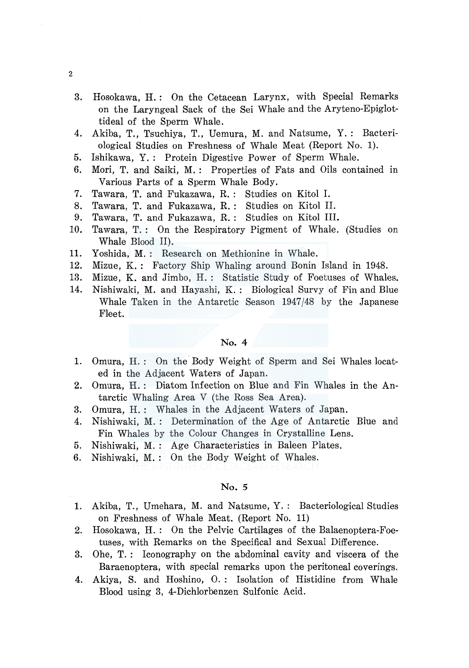- 3. Hosokawa, H.: On the Cetacean Larynx, with Special Remarks on the Laryngeal Sack of the Sei Whale and the Aryteno-Epiglottideal of the Sperm Whale.
- 4. Akiba, T., Tsuchiya, T., Uemura, M. and Natsume, Y. : Bacteriological Studies on Freshness of Whale Meat (Report No. 1).
- 5. Ishikawa, Y. : Protein Digestive Power of Sperm Whale.
- 6. Mori, T. and Saiki, M.: Properties of Fats and Oils contained in Various Parts of a Sperm Whale Body.
- 7. Tawara, T. and Fukazawa, R. : Studies on Kitol I.
- 8. Tawara, T. and Fukazawa, R. : Studies on Kitol II.
- 9. Tawara, T. and Fukazawa, R. : Studies on Kitol III.
- 10. Tawara, T. : On the Respiratory Pigment of Whale. (Studies on Whale Blood II).
- 11. Yoshida, M. : Research on Methionine in Whale.
- 12. Mizue, K.: Factory Ship Whaling around Bonin Island in 1948.
- 13. Mizue, K. and Jimbo, H. : Statistic Study of Foetuses of Whales.
- 14. Nishiwaki, M. and Hayashi, K. : Biological Survy of Fin and Blue Whale Taken in the Antarctic Season 1947/48 by the Japanese Fleet.

## No. 4

- 1. Omura, H. : On the Body Weight of Sperm and Sei Whales located in the Adjacent Waters of Japan.
- 2. Omura, H. : Diatom Infection on Blue and Fin Whales in the Antarctic Whaling Area V (the Ross Sea Area).
- 3. Omura, H.: Whales in the Adjacent Waters of Japan.
- 4. Nishiwaki, M. : Determination of the Age of Antarctic Blue and Fin Whales by the Colour Changes in Crystalline Lens.
- 5. Nishiwaki, M. : Age Characteristics in Baleen Plates.
- 6. Nishiwaki, M. : On the Body Weight of Whales.

#### No. *5*

- 1. Akiba, T., Umehara, M. and Natsume, Y. : Bacteriological Studies on Freshness of Whale Meat. (Report No. 11)
- 2. Hosokawa, H. : On the Pelvic Cartilages of the Balaenoptera-Foetuses, with Remarks on the Specifical and Sexual Difference.
- 3. Ohe, T. : Iconography on the abdominal cavity and viscera of the Baraenoptera, with special remarks upon the peritoneal coverings.
- 4. Akiya, S. and Hoshino, 0. : Isolation of Histidine from Whale Blood using 3, 4-Dichlorbenzen Sulfonic Acid.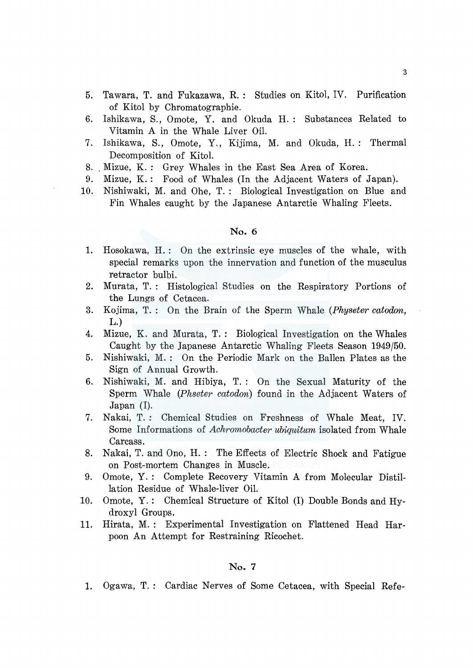- 5. Tawara, T. and Fukazawa, R. : Studies on Kitol, IV. Purification of Kitol by Chromatographie.
- 6. Ishikawa, S., Omote, Y. and Okuda H. : Substances Related to Vitamin A in the Whale Liver Oil.
- 7. Ishikawa, S., Omote, Y., Kijima, M. and Okuda, H. : Thermal Decomposition of Kitol.
- 8. . Mizue, K. : Grey Whales in the East Sea Area of Korea.
- 9. Mizue, K.: Food of Whales (In the Adjacent Waters of Japan).
- 10. Nishiwaki, M. and Ohe, T. : Biological Investigation on Blue and Fin Whales caught by the Japanese Antarctie Whaling Fleets.

# No. 6

- 1. Hosokawa, H.: On the extrinsic eye muscles of the whale, with special remarks upon the innervation and function of the musculus retractor bulbi.
- 2. Murata, T.: Histological Studies on the Respiratory Portions of the Lungs of Cetacea.
- 3. Kojima, T. : On the Brain of the Sperm Whale *(Physeter catoclon,*  L.)
- 4. Mizue, K. and Murata, T. : Biological Investigation on the Whales Caught by the Japanese Antarctic Whaling Fleets Season 1949/50.
- 5. Nishiwaki, M. : On the Periodic Mark on the Ballen Plates as the Sign of Annual Growth.
- 6. Nishiwaki, M. and Hibiya, T. : On the Sexual Maturity of the Sperm Whale *(Phseter catodon)* found in the Adjacent Waters of Japan (I).
- 7. Nakai, T. : Chemical Studies on Freshness of Whale Meat, IV. Some Informations of *Achromobacter ubiquitum* isolated from Whale Carcass.
- 8. Nakai, T. and Ono, H. : The Effects of Electric Shock and Fatigue on Post-mortem Changes in Muscle.
- 9. Omote, Y. : Complete Recovery Vitamin A from Molecular Distillation Residue of Whale-liver Oil.
- 10. Omote, Y. : Chemical Structure of Kitol (I) Double Bonds and Hydroxyl Groups.
- 11. Hirata, M. : Experimental Investigation on Flattened Head Harpoon An Attempt for Restraining Ricochet.

### No. 7

1. Ogawa, T. : Cardiac Nerves of Some Cetacea, with Special Refe-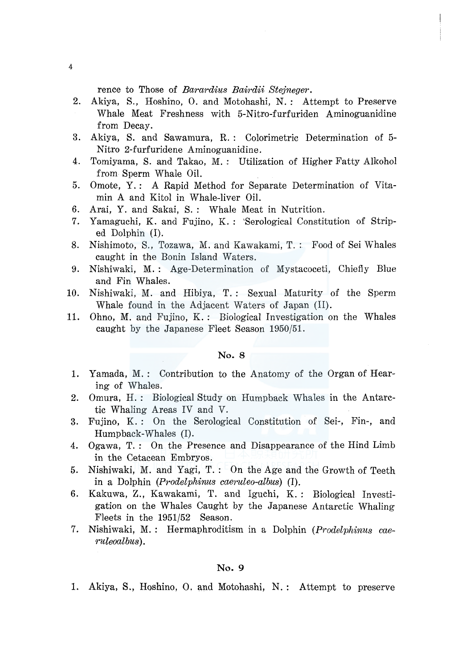rence to Those of *Barardius Bairdii Ste}neger.* 

- 2. Akiya, S., Hoshino, 0. and Motohashi, N. : Attempt to Preserve Whale Meat Freshness with 5-Nitro-furfuriden Aminoguanidine from Decay.
- 3. Akiya, S. and Sawamura, R. : Colorimetric Determination of 5- Nitro 2-furfuridene Aminoguanidine.
- 4. Tomiyama, S. and Takao, M. : Utilization of Higher Fatty Alkohol from Sperm Whale Oil.
- 5. Omote, Y.: A Rapid Method for Separate Determination of Vitamin A and Kitol in Whale-liver Oil.
- 6. Arai, Y. and Sakai, S. : Whale Meat in Nutrition.
- 7. Yamaguchi, K. and Fujino, K. : 'Serological Constitution of Striped Dolphin (I).
- 8. Nishimoto, S., Tozawa, M. and Kawakami, T. : Food of Sei Whales caught in the Bonin Island Waters.
- 9. Nishiwaki, M. : Age-Determination of Mystacoceti, Chiefly Blue and Fin Whales.
- 10. Nishiwaki, M. and Hibiya, T. : Sexual Maturity of the Sperm Whale found in the Adjacent Waters of Japan (II).
- 11. Ohno, M. and Fujino, K. : Biological Investigation on the Whales caught by the Japanese Fleet Season 1950/51.

#### No. 8

- 1. Yamada, M. : Contribution to the Anatomy of the Organ of Hearing of Whales.
- 2. Omura, H. : Biological Study on Humpback Whales in the Antarctic Whaling Areas IV and V.
- 3. Fujino, K. : On the Serological Constitution of Sei-, Fin-, and Humpback-Whales (I).
- 4. Ogawa, T. : On the Presence and Disappearance of the Hind Limb in the Cetacean Embryos.
- 5. Nishiwaki, M. and Yagi, T. : On the Age and the Growth of Teeth in a Dolphin *(Prodelphinus caeruleo-albus)* (I).
- 6. Kakuwa, Z., Kawakami, T. and Iguchi, K.: Biological Investigation on the Whales Caught by the Japanese Antarctic Whaling Fleets in the 1951/52 Season.
- 7. Nishiwaki, M. : Hermaphroditism in a Dolphin *(P.rodelphinus caeruleoalbus).*

#### No. 9

1. Akiya, S., Hoshino, 0. and Motohashi, N. : Attempt to preserve